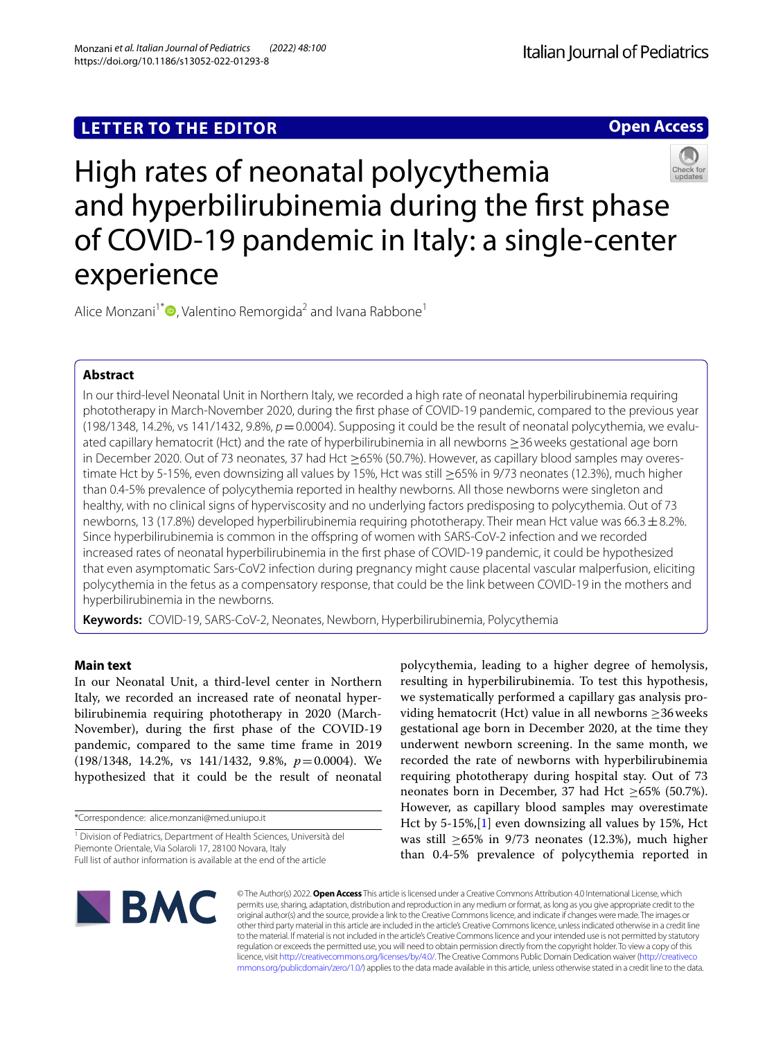# **LETTER TO THE EDITOR**

**Open Access**



# High rates of neonatal polycythemia and hyperbilirubinemia during the frst phase of COVID-19 pandemic in Italy: a single-center experience

Alice Monzani<sup>1\*</sup><sup> $\bullet$ </sup>[,](http://orcid.org/0000-0002-6676-5773) Valentino Remorgida<sup>2</sup> and Ivana Rabbone<sup>1</sup>

## **Abstract**

In our third-level Neonatal Unit in Northern Italy, we recorded a high rate of neonatal hyperbilirubinemia requiring phototherapy in March-November 2020, during the frst phase of COVID-19 pandemic, compared to the previous year (198/1348, 14.2%, vs 141/1432, 9.8%,  $p = 0.0004$ ). Supposing it could be the result of neonatal polycythemia, we evaluated capillary hematocrit (Hct) and the rate of hyperbilirubinemia in all newborns ≥36weeks gestational age born in December 2020. Out of 73 neonates, 37 had Hct ≥65% (50.7%). However, as capillary blood samples may overestimate Hct by 5-15%, even downsizing all values by 15%, Hct was still ≥65% in 9/73 neonates (12.3%), much higher than 0.4-5% prevalence of polycythemia reported in healthy newborns. All those newborns were singleton and healthy, with no clinical signs of hyperviscosity and no underlying factors predisposing to polycythemia. Out of 73 newborns, 13 (17.8%) developed hyperbilirubinemia requiring phototherapy. Their mean Hct value was 66.3  $\pm$ 8.2%. Since hyperbilirubinemia is common in the ofspring of women with SARS-CoV-2 infection and we recorded increased rates of neonatal hyperbilirubinemia in the frst phase of COVID-19 pandemic, it could be hypothesized that even asymptomatic Sars-CoV2 infection during pregnancy might cause placental vascular malperfusion, eliciting polycythemia in the fetus as a compensatory response, that could be the link between COVID-19 in the mothers and hyperbilirubinemia in the newborns.

**Keywords:** COVID-19, SARS-CoV-2, Neonates, Newborn, Hyperbilirubinemia, Polycythemia

## **Main text**

In our Neonatal Unit, a third-level center in Northern Italy, we recorded an increased rate of neonatal hyperbilirubinemia requiring phototherapy in 2020 (March-November), during the frst phase of the COVID-19 pandemic, compared to the same time frame in 2019 (198/1348, 14.2%, vs 141/1432, 9.8%, *p*=0.0004). We hypothesized that it could be the result of neonatal

polycythemia, leading to a higher degree of hemolysis, resulting in hyperbilirubinemia. To test this hypothesis, we systematically performed a capillary gas analysis providing hematocrit (Hct) value in all newborns  $\geq$ 36 weeks gestational age born in December 2020, at the time they underwent newborn screening. In the same month, we recorded the rate of newborns with hyperbilirubinemia requiring phototherapy during hospital stay. Out of 73 neonates born in December, 37 had Hct ≥65% (50.7%). However, as capillary blood samples may overestimate Hct by 5-15%,[[1\]](#page-1-0) even downsizing all values by 15%, Hct was still  $\geq 65\%$  in 9/73 neonates (12.3%), much higher than 0.4-5% prevalence of polycythemia reported in



© The Author(s) 2022. **Open Access** This article is licensed under a Creative Commons Attribution 4.0 International License, which permits use, sharing, adaptation, distribution and reproduction in any medium or format, as long as you give appropriate credit to the original author(s) and the source, provide a link to the Creative Commons licence, and indicate if changes were made. The images or other third party material in this article are included in the article's Creative Commons licence, unless indicated otherwise in a credit line to the material. If material is not included in the article's Creative Commons licence and your intended use is not permitted by statutory regulation or exceeds the permitted use, you will need to obtain permission directly from the copyright holder. To view a copy of this licence, visit [http://creativecommons.org/licenses/by/4.0/.](http://creativecommons.org/licenses/by/4.0/) The Creative Commons Public Domain Dedication waiver ([http://creativeco](http://creativecommons.org/publicdomain/zero/1.0/) [mmons.org/publicdomain/zero/1.0/](http://creativecommons.org/publicdomain/zero/1.0/)) applies to the data made available in this article, unless otherwise stated in a credit line to the data.

<sup>\*</sup>Correspondence: alice.monzani@med.uniupo.it

<sup>&</sup>lt;sup>1</sup> Division of Pediatrics, Department of Health Sciences, Università del Piemonte Orientale, Via Solaroli 17, 28100 Novara, Italy Full list of author information is available at the end of the article